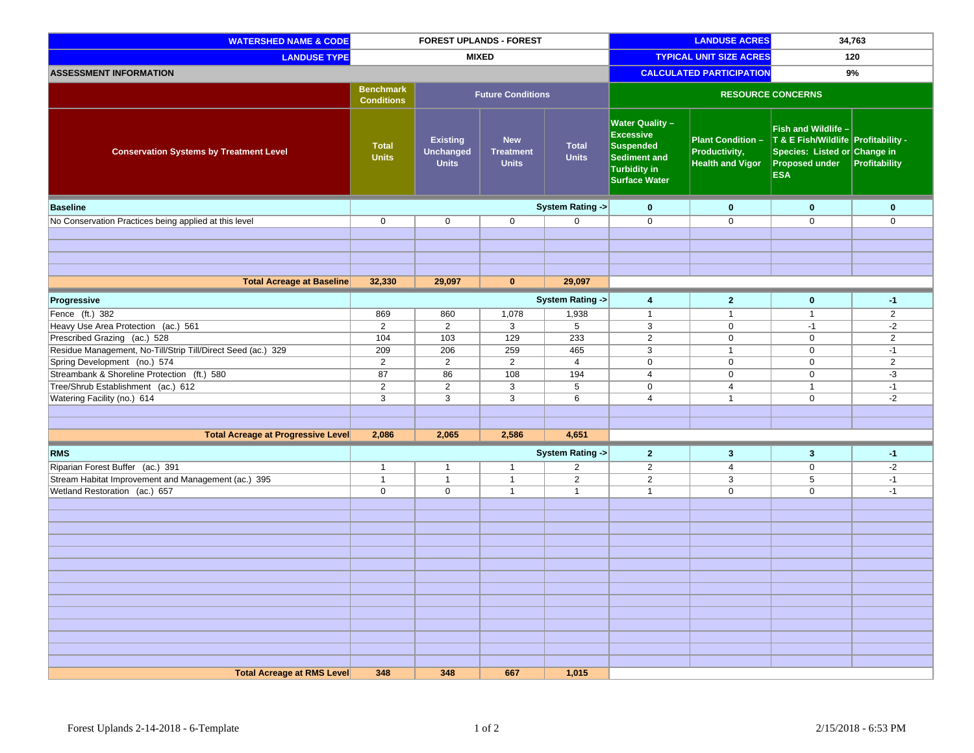| <b>WATERSHED NAME &amp; CODE</b>                             | <b>FOREST UPLANDS - FOREST</b>        |                                                     |                                                | <b>LANDUSE ACRES</b>            |                                                                                                                        | 34,763                                                               |                                                                                                                                   |                |
|--------------------------------------------------------------|---------------------------------------|-----------------------------------------------------|------------------------------------------------|---------------------------------|------------------------------------------------------------------------------------------------------------------------|----------------------------------------------------------------------|-----------------------------------------------------------------------------------------------------------------------------------|----------------|
| <b>LANDUSE TYPE</b>                                          | <b>MIXED</b>                          |                                                     |                                                | <b>TYPICAL UNIT SIZE ACRES</b>  |                                                                                                                        | 120                                                                  |                                                                                                                                   |                |
| <b>ASSESSMENT INFORMATION</b>                                |                                       |                                                     |                                                | <b>CALCULATED PARTICIPATION</b> |                                                                                                                        | 9%                                                                   |                                                                                                                                   |                |
|                                                              | <b>Benchmark</b><br><b>Conditions</b> |                                                     | <b>Future Conditions</b>                       |                                 |                                                                                                                        |                                                                      | <b>RESOURCE CONCERNS</b>                                                                                                          |                |
| <b>Conservation Systems by Treatment Level</b>               | <b>Total</b><br><b>Units</b>          | <b>Existing</b><br><b>Unchanged</b><br><b>Units</b> | <b>New</b><br><b>Treatment</b><br><b>Units</b> | <b>Total</b><br><b>Units</b>    | <b>Water Quality -</b><br><b>Excessive</b><br><b>Suspended</b><br>Sediment and<br>Turbidity in<br><b>Surface Water</b> | <b>Plant Condition -</b><br>Productivity,<br><b>Health and Vigor</b> | Fish and Wildlife -<br>T & E Fish/Wildlife Profitability -<br>Species: Listed or Change in<br><b>Proposed under</b><br><b>ESA</b> | Profitability  |
| <b>Baseline</b>                                              |                                       |                                                     |                                                | <b>System Rating -&gt;</b>      | $\bf{0}$                                                                                                               | $\mathbf{0}$                                                         | $\bf{0}$                                                                                                                          | $\mathbf 0$    |
| No Conservation Practices being applied at this level        | $\mathbf 0$                           | $\mathbf 0$                                         | $\mathbf 0$                                    | $\mathbf 0$                     | $\mathbf 0$                                                                                                            | $\mathbf 0$                                                          | $\mathbf 0$                                                                                                                       | $\mathbf 0$    |
|                                                              |                                       |                                                     |                                                |                                 |                                                                                                                        |                                                                      |                                                                                                                                   |                |
|                                                              |                                       |                                                     |                                                |                                 |                                                                                                                        |                                                                      |                                                                                                                                   |                |
|                                                              |                                       |                                                     |                                                |                                 |                                                                                                                        |                                                                      |                                                                                                                                   |                |
|                                                              |                                       |                                                     |                                                |                                 |                                                                                                                        |                                                                      |                                                                                                                                   |                |
| <b>Total Acreage at Baseline</b>                             | 32,330                                | 29,097                                              | $\mathbf{0}$                                   | 29,097                          |                                                                                                                        |                                                                      |                                                                                                                                   |                |
| Progressive                                                  |                                       |                                                     |                                                | System Rating ->                | 4                                                                                                                      | $\overline{2}$                                                       | $\bf{0}$                                                                                                                          | $-1$           |
| Fence (ft.) 382                                              | 869                                   | 860                                                 | 1,078                                          | 1,938                           | $\mathbf{1}$                                                                                                           | $\overline{1}$                                                       | $\mathbf{1}$                                                                                                                      | $\overline{2}$ |
| Heavy Use Area Protection (ac.) 561                          | $\overline{2}$                        | $\overline{2}$                                      | 3                                              | 5                               | 3                                                                                                                      | $\mathbf 0$                                                          | $-1$                                                                                                                              | $-2$           |
| Prescribed Grazing (ac.) 528                                 | 104                                   | 103                                                 | 129                                            | 233                             | $\overline{2}$                                                                                                         | $\mathbf 0$                                                          | $\mathbf 0$                                                                                                                       | $\overline{2}$ |
| Residue Management, No-Till/Strip Till/Direct Seed (ac.) 329 | 209                                   | 206                                                 | 259                                            | 465                             | 3                                                                                                                      | $\overline{1}$                                                       | 0                                                                                                                                 | $-1$           |
| Spring Development (no.) 574                                 | $\overline{2}$                        | $\overline{2}$                                      | $\overline{2}$                                 | $\overline{4}$                  | $\mathbf 0$                                                                                                            | $\mathbf 0$                                                          | $\mathbf 0$                                                                                                                       | $\overline{2}$ |
| Streambank & Shoreline Protection (ft.) 580                  | 87                                    | 86                                                  | 108                                            | 194                             | $\overline{4}$                                                                                                         | $\mathbf 0$                                                          | $\mathbf 0$                                                                                                                       | $-3$           |
| Tree/Shrub Establishment (ac.) 612                           | $\overline{2}$                        | $\overline{2}$                                      | 3                                              | $\overline{5}$                  | $\overline{0}$                                                                                                         | 4                                                                    | $\mathbf{1}$                                                                                                                      | $-1$           |
| Watering Facility (no.) 614                                  | 3                                     | 3                                                   | $\overline{3}$                                 | 6                               | $\overline{4}$                                                                                                         | $\overline{1}$                                                       | $\mathbf 0$                                                                                                                       | $-2$           |
|                                                              |                                       |                                                     |                                                |                                 |                                                                                                                        |                                                                      |                                                                                                                                   |                |
|                                                              |                                       |                                                     |                                                |                                 |                                                                                                                        |                                                                      |                                                                                                                                   |                |
| <b>Total Acreage at Progressive Level</b>                    | 2,086                                 | 2,065                                               | 2,586                                          | 4,651                           |                                                                                                                        |                                                                      |                                                                                                                                   |                |
| <b>RMS</b>                                                   |                                       |                                                     |                                                | System Rating ->                | $\overline{2}$                                                                                                         | $\mathbf{3}$                                                         | $\mathbf{3}$                                                                                                                      | $-1$           |
| Riparian Forest Buffer (ac.) 391                             | $\mathbf{1}$                          | $\mathbf{1}$                                        | $\mathbf{1}$                                   | $\overline{2}$                  | $\overline{2}$                                                                                                         | 4                                                                    | $\boldsymbol{0}$                                                                                                                  | $-2$           |
| Stream Habitat Improvement and Management (ac.) 395          | $\mathbf{1}$                          | $\mathbf{1}$                                        | $\mathbf{1}$                                   | $\overline{2}$                  | $\overline{2}$                                                                                                         | 3                                                                    | 5                                                                                                                                 | $-1$           |
| Wetland Restoration (ac.) 657                                | $\mathbf 0$                           | $\mathbf 0$                                         | $\mathbf{1}$                                   | $\mathbf{1}$                    | $\mathbf{1}$                                                                                                           | $\mathbf 0$                                                          | $\mathbf 0$                                                                                                                       | $-1$           |
|                                                              |                                       |                                                     |                                                |                                 |                                                                                                                        |                                                                      |                                                                                                                                   |                |
|                                                              |                                       |                                                     |                                                |                                 |                                                                                                                        |                                                                      |                                                                                                                                   |                |
|                                                              |                                       |                                                     |                                                |                                 |                                                                                                                        |                                                                      |                                                                                                                                   |                |
|                                                              |                                       |                                                     |                                                |                                 |                                                                                                                        |                                                                      |                                                                                                                                   |                |
|                                                              |                                       |                                                     |                                                |                                 |                                                                                                                        |                                                                      |                                                                                                                                   |                |
|                                                              |                                       |                                                     |                                                |                                 |                                                                                                                        |                                                                      |                                                                                                                                   |                |
|                                                              |                                       |                                                     |                                                |                                 |                                                                                                                        |                                                                      |                                                                                                                                   |                |
|                                                              |                                       |                                                     |                                                |                                 |                                                                                                                        |                                                                      |                                                                                                                                   |                |
|                                                              |                                       |                                                     |                                                |                                 |                                                                                                                        |                                                                      |                                                                                                                                   |                |
|                                                              |                                       |                                                     |                                                |                                 |                                                                                                                        |                                                                      |                                                                                                                                   |                |
|                                                              |                                       |                                                     |                                                |                                 |                                                                                                                        |                                                                      |                                                                                                                                   |                |
|                                                              |                                       |                                                     |                                                |                                 |                                                                                                                        |                                                                      |                                                                                                                                   |                |
|                                                              |                                       |                                                     |                                                |                                 |                                                                                                                        |                                                                      |                                                                                                                                   |                |
| <b>Total Acreage at RMS Level</b>                            | 348                                   | 348                                                 | 667                                            | 1,015                           |                                                                                                                        |                                                                      |                                                                                                                                   |                |